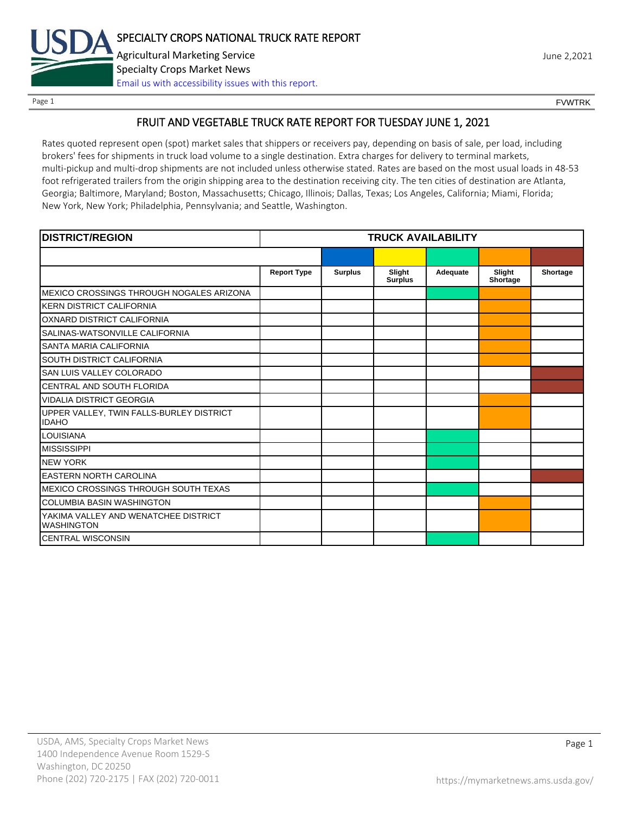

Page 1 FOUNTRK CONTROL CONTROL CONTROL CONTROL CONTROL CONTROL CONTROL CONTROL CONTROL CONTROL CONTROL CONTROL CONTROL CONTROL CONTROL CONTROL CONTROL CONTROL CONTROL CONTROL CONTROL CONTROL CONTROL CONTROL CONTROL CONTROL

## FRUIT AND VEGETABLE TRUCK RATE REPORT FOR TUESDAY JUNE 1, 2021

Rates quoted represent open (spot) market sales that shippers or receivers pay, depending on basis of sale, per load, including brokers' fees for shipments in truck load volume to a single destination. Extra charges for delivery to terminal markets, multi-pickup and multi-drop shipments are not included unless otherwise stated. Rates are based on the most usual loads in 48-53 foot refrigerated trailers from the origin shipping area to the destination receiving city. The ten cities of destination are Atlanta, Georgia; Baltimore, Maryland; Boston, Massachusetts; Chicago, Illinois; Dallas, Texas; Los Angeles, California; Miami, Florida; New York, New York; Philadelphia, Pennsylvania; and Seattle, Washington.

| <b>DISTRICT/REGION</b>                                    | <b>TRUCK AVAILABILITY</b> |                |                          |          |                    |          |
|-----------------------------------------------------------|---------------------------|----------------|--------------------------|----------|--------------------|----------|
|                                                           |                           |                |                          |          |                    |          |
|                                                           | <b>Report Type</b>        | <b>Surplus</b> | Slight<br><b>Surplus</b> | Adequate | Slight<br>Shortage | Shortage |
| MEXICO CROSSINGS THROUGH NOGALES ARIZONA                  |                           |                |                          |          |                    |          |
| <b>KERN DISTRICT CALIFORNIA</b>                           |                           |                |                          |          |                    |          |
| OXNARD DISTRICT CALIFORNIA                                |                           |                |                          |          |                    |          |
| SALINAS-WATSONVILLE CALIFORNIA                            |                           |                |                          |          |                    |          |
| SANTA MARIA CALIFORNIA                                    |                           |                |                          |          |                    |          |
| SOUTH DISTRICT CALIFORNIA                                 |                           |                |                          |          |                    |          |
| SAN LUIS VALLEY COLORADO                                  |                           |                |                          |          |                    |          |
| CENTRAL AND SOUTH FLORIDA                                 |                           |                |                          |          |                    |          |
| <b>VIDALIA DISTRICT GEORGIA</b>                           |                           |                |                          |          |                    |          |
| UPPER VALLEY, TWIN FALLS-BURLEY DISTRICT<br><b>IDAHO</b>  |                           |                |                          |          |                    |          |
| <b>LOUISIANA</b>                                          |                           |                |                          |          |                    |          |
| <b>MISSISSIPPI</b>                                        |                           |                |                          |          |                    |          |
| <b>NEW YORK</b>                                           |                           |                |                          |          |                    |          |
| <b>EASTERN NORTH CAROLINA</b>                             |                           |                |                          |          |                    |          |
| MEXICO CROSSINGS THROUGH SOUTH TEXAS                      |                           |                |                          |          |                    |          |
| <b>COLUMBIA BASIN WASHINGTON</b>                          |                           |                |                          |          |                    |          |
| YAKIMA VALLEY AND WENATCHEE DISTRICT<br><b>WASHINGTON</b> |                           |                |                          |          |                    |          |
| <b>CENTRAL WISCONSIN</b>                                  |                           |                |                          |          |                    |          |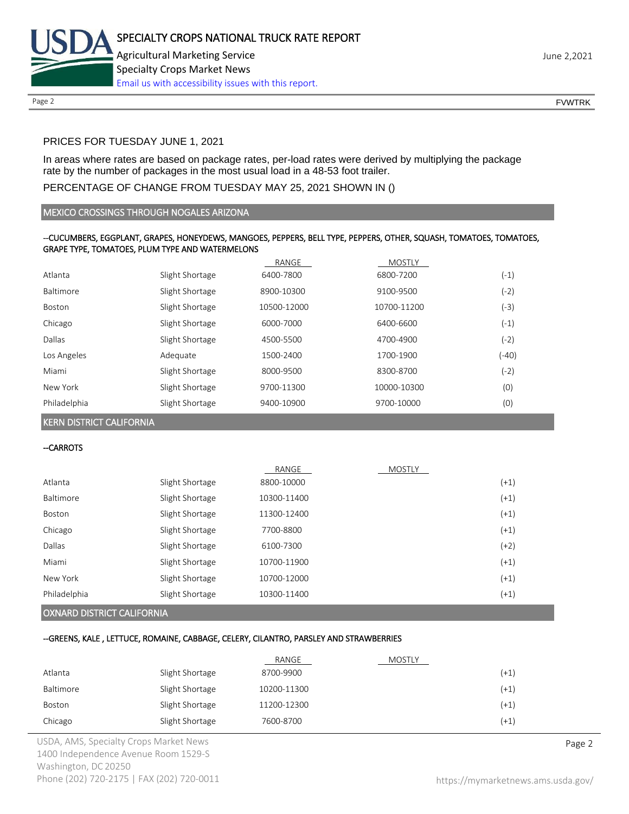

## PRICES FOR TUESDAY JUNE 1, 2021

In areas where rates are based on package rates, per-load rates were derived by multiplying the package rate by the number of packages in the most usual load in a 48-53 foot trailer.

## PERCENTAGE OF CHANGE FROM TUESDAY MAY 25, 2021 SHOWN IN ()

#### MEXICO CROSSINGS THROUGH NOGALES ARIZONA

## --CUCUMBERS, EGGPLANT, GRAPES, HONEYDEWS, MANGOES, PEPPERS, BELL TYPE, PEPPERS, OTHER, SQUASH, TOMATOES, TOMATOES, GRAPE TYPE, TOMATOES, PLUM TYPE AND WATERMELONS

|              |                 | RANGE       | <b>MOSTLY</b> |         |
|--------------|-----------------|-------------|---------------|---------|
| Atlanta      | Slight Shortage | 6400-7800   | 6800-7200     | $(-1)$  |
| Baltimore    | Slight Shortage | 8900-10300  | 9100-9500     | $(-2)$  |
| Boston       | Slight Shortage | 10500-12000 | 10700-11200   | $(-3)$  |
| Chicago      | Slight Shortage | 6000-7000   | 6400-6600     | $(-1)$  |
| Dallas       | Slight Shortage | 4500-5500   | 4700-4900     | $(-2)$  |
| Los Angeles  | Adequate        | 1500-2400   | 1700-1900     | $(-40)$ |
| Miami        | Slight Shortage | 8000-9500   | 8300-8700     | $(-2)$  |
| New York     | Slight Shortage | 9700-11300  | 10000-10300   | (0)     |
| Philadelphia | Slight Shortage | 9400-10900  | 9700-10000    | (0)     |

KERN DISTRICT CALIFORNIA

#### --CARROTS

|              |                 | RANGE       | <b>MOSTLY</b> |        |
|--------------|-----------------|-------------|---------------|--------|
| Atlanta      | Slight Shortage | 8800-10000  |               | $(+1)$ |
| Baltimore    | Slight Shortage | 10300-11400 |               | $(+1)$ |
| Boston       | Slight Shortage | 11300-12400 |               | $(+1)$ |
| Chicago      | Slight Shortage | 7700-8800   |               | $(+1)$ |
| Dallas       | Slight Shortage | 6100-7300   |               | $(+2)$ |
| Miami        | Slight Shortage | 10700-11900 |               | $(+1)$ |
| New York     | Slight Shortage | 10700-12000 |               | $(+1)$ |
| Philadelphia | Slight Shortage | 10300-11400 |               | $(+1)$ |
|              |                 |             |               |        |

#### OXNARD DISTRICT CALIFORNIA

## --GREENS, KALE , LETTUCE, ROMAINE, CABBAGE, CELERY, CILANTRO, PARSLEY AND STRAWBERRIES

|           |                 | RANGE       | <b>MOSTLY</b> |        |
|-----------|-----------------|-------------|---------------|--------|
| Atlanta   | Slight Shortage | 8700-9900   |               | $(+1)$ |
| Baltimore | Slight Shortage | 10200-11300 |               | $(+1)$ |
| Boston    | Slight Shortage | 11200-12300 |               | $(+1)$ |
| Chicago   | Slight Shortage | 7600-8700   |               | $(+1)$ |

USDA, AMS, Specialty Crops Market News **Page 2** 1400 Independence Avenue Room 1529-S Washington, DC 20250 Phone (202) 720-2175 | FAX (202) 720-0011 <https://mymarketnews.ams.usda.gov/>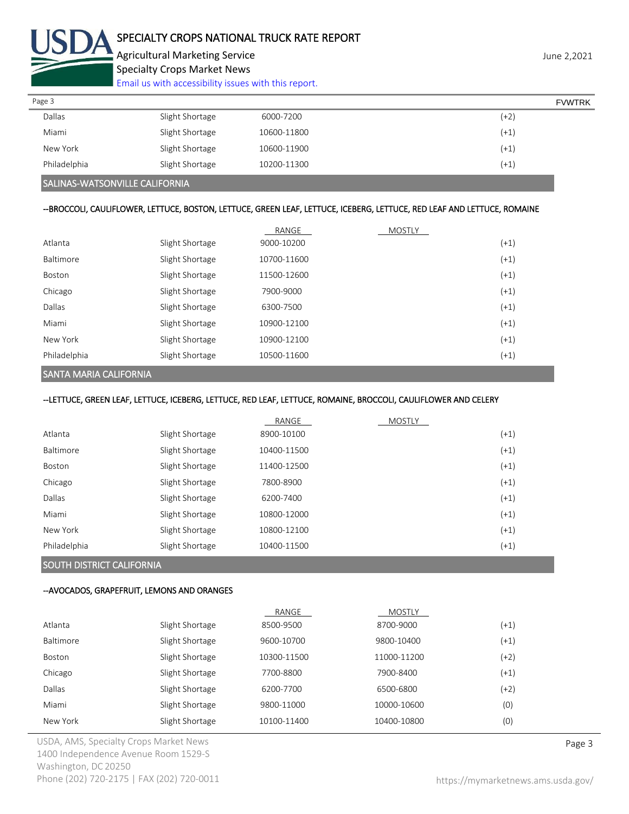

Agricultural Marketing Service **Agricultural Marketing Service** Agricultural Marketing Service Specialty Crops Market News

[Email us with accessibility issues with this report.](mailto:mars@ams.usda.gov?subject=508%20Inquiry/Report)

| Page 3        |                 |             | <b>FVWTRK</b> |
|---------------|-----------------|-------------|---------------|
| <b>Dallas</b> | Slight Shortage | 6000-7200   | $(+2)$        |
| Miami         | Slight Shortage | 10600-11800 | $(+1)$        |
| New York      | Slight Shortage | 10600-11900 | $(+1)$        |
| Philadelphia  | Slight Shortage | 10200-11300 | $(+1)$        |
|               |                 |             |               |

## SALINAS-WATSONVILLE CALIFORNIA

### --BROCCOLI, CAULIFLOWER, LETTUCE, BOSTON, LETTUCE, GREEN LEAF, LETTUCE, ICEBERG, LETTUCE, RED LEAF AND LETTUCE, ROMAINE

|              |                 | RANGE       | <b>MOSTLY</b> |        |
|--------------|-----------------|-------------|---------------|--------|
| Atlanta      | Slight Shortage | 9000-10200  |               | $(+1)$ |
| Baltimore    | Slight Shortage | 10700-11600 |               | $(+1)$ |
| Boston       | Slight Shortage | 11500-12600 |               | $(+1)$ |
| Chicago      | Slight Shortage | 7900-9000   |               | $(+1)$ |
| Dallas       | Slight Shortage | 6300-7500   |               | $(+1)$ |
| Miami        | Slight Shortage | 10900-12100 |               | $(+1)$ |
| New York     | Slight Shortage | 10900-12100 |               | $(+1)$ |
| Philadelphia | Slight Shortage | 10500-11600 |               | $(+1)$ |

## SANTA MARIA CALIFORNIA

--LETTUCE, GREEN LEAF, LETTUCE, ICEBERG, LETTUCE, RED LEAF, LETTUCE, ROMAINE, BROCCOLI, CAULIFLOWER AND CELERY

|               |                 | RANGE       | <b>MOSTLY</b> |        |
|---------------|-----------------|-------------|---------------|--------|
| Atlanta       | Slight Shortage | 8900-10100  |               | $(+1)$ |
| Baltimore     | Slight Shortage | 10400-11500 |               | $(+1)$ |
| <b>Boston</b> | Slight Shortage | 11400-12500 |               | $(+1)$ |
| Chicago       | Slight Shortage | 7800-8900   |               | $(+1)$ |
| Dallas        | Slight Shortage | 6200-7400   |               | $(+1)$ |
| Miami         | Slight Shortage | 10800-12000 |               | $(+1)$ |
| New York      | Slight Shortage | 10800-12100 |               | $(+1)$ |
| Philadelphia  | Slight Shortage | 10400-11500 |               | $(+1)$ |

## SOUTH DISTRICT CALIFORNIA

#### --AVOCADOS, GRAPEFRUIT, LEMONS AND ORANGES

|                  |                 | RANGE       | <b>MOSTLY</b> |        |
|------------------|-----------------|-------------|---------------|--------|
| Atlanta          | Slight Shortage | 8500-9500   | 8700-9000     | $(+1)$ |
| <b>Baltimore</b> | Slight Shortage | 9600-10700  | 9800-10400    | $(+1)$ |
| <b>Boston</b>    | Slight Shortage | 10300-11500 | 11000-11200   | $(+2)$ |
| Chicago          | Slight Shortage | 7700-8800   | 7900-8400     | $(+1)$ |
| Dallas           | Slight Shortage | 6200-7700   | 6500-6800     | $(+2)$ |
| Miami            | Slight Shortage | 9800-11000  | 10000-10600   | (0)    |
| New York         | Slight Shortage | 10100-11400 | 10400-10800   | (0)    |

USDA, AMS, Specialty Crops Market News **Page 3** 1400 Independence Avenue Room 1529-S Washington, DC 20250 Phone (202) 720-2175 | FAX (202) 720-0011 <https://mymarketnews.ams.usda.gov/>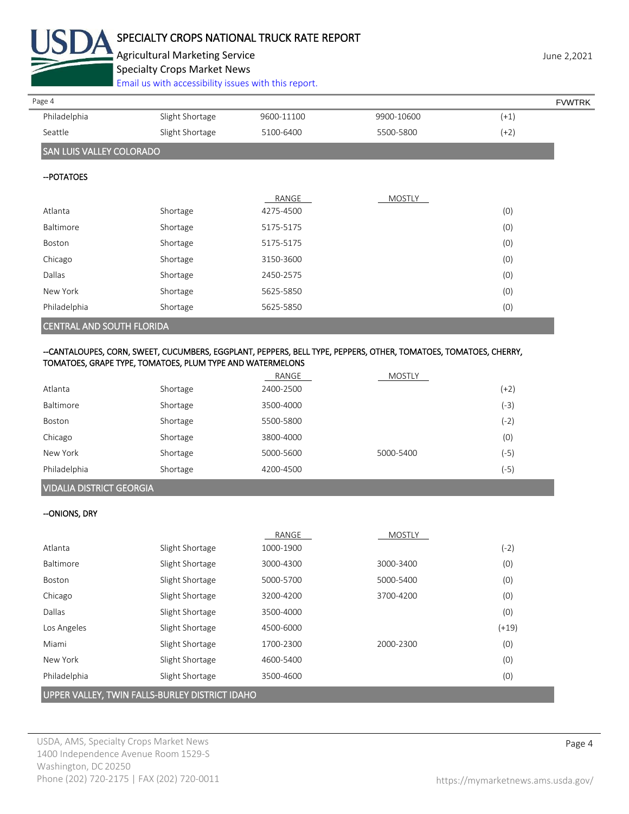

# SPECIALTY CROPS NATIONAL TRUCK RATE REPORT

Agricultural Marketing Service **Agricultural Marketing Service** Agricultural Marketing Service Specialty Crops Market News

[Email us with accessibility issues with this report.](mailto:mars@ams.usda.gov?subject=508%20Inquiry/Report)

| Page 4                          |                 |            |            |        | <b>FVWTRK</b> |
|---------------------------------|-----------------|------------|------------|--------|---------------|
| Philadelphia                    | Slight Shortage | 9600-11100 | 9900-10600 | $(+1)$ |               |
| Seattle                         | Slight Shortage | 5100-6400  | 5500-5800  | $(+2)$ |               |
| <b>SAN LUIS VALLEY COLORADO</b> |                 |            |            |        |               |
| -- POTATOES                     |                 |            |            |        |               |
|                                 |                 | RANGE      | MOSTLY     |        |               |
| Atlanta                         | Shortage        | 4275-4500  |            | (0)    |               |
| Baltimore                       | Shortage        | 5175-5175  |            | (0)    |               |
| Boston                          | Shortage        | 5175-5175  |            | (0)    |               |
| Chicago                         | Shortage        | 3150-3600  |            | (0)    |               |
| Dallas                          | Shortage        | 2450-2575  |            | (0)    |               |
| New York                        | Shortage        | 5625-5850  |            | (0)    |               |
| Philadelphia                    | Shortage        | 5625-5850  |            | (0)    |               |
|                                 |                 |            |            |        |               |

## CENTRAL AND SOUTH FLORIDA

#### --CANTALOUPES, CORN, SWEET, CUCUMBERS, EGGPLANT, PEPPERS, BELL TYPE, PEPPERS, OTHER, TOMATOES, TOMATOES, CHERRY, TOMATOES, GRAPE TYPE, TOMATOES, PLUM TYPE AND WATERMELONS

|              |          | RANGE     | <b>MOSTLY</b> |        |
|--------------|----------|-----------|---------------|--------|
| Atlanta      | Shortage | 2400-2500 |               | $(+2)$ |
| Baltimore    | Shortage | 3500-4000 |               | (-3)   |
| Boston       | Shortage | 5500-5800 |               | (-2)   |
| Chicago      | Shortage | 3800-4000 |               | (0)    |
| New York     | Shortage | 5000-5600 | 5000-5400     | (-5)   |
| Philadelphia | Shortage | 4200-4500 |               | (-5)   |

## VIDALIA DISTRICT GEORGIA

## --ONIONS, DRY

|                                                |                 | RANGE     | <b>MOSTLY</b> |         |  |
|------------------------------------------------|-----------------|-----------|---------------|---------|--|
| Atlanta                                        | Slight Shortage | 1000-1900 |               | $(-2)$  |  |
| Baltimore                                      | Slight Shortage | 3000-4300 | 3000-3400     | (0)     |  |
| Boston                                         | Slight Shortage | 5000-5700 | 5000-5400     | (0)     |  |
| Chicago                                        | Slight Shortage | 3200-4200 | 3700-4200     | (0)     |  |
| Dallas                                         | Slight Shortage | 3500-4000 |               | (0)     |  |
| Los Angeles                                    | Slight Shortage | 4500-6000 |               | $(+19)$ |  |
| Miami                                          | Slight Shortage | 1700-2300 | 2000-2300     | (0)     |  |
| New York                                       | Slight Shortage | 4600-5400 |               | (0)     |  |
| Philadelphia                                   | Slight Shortage | 3500-4600 |               | (0)     |  |
| UPPER VALLEY, TWIN FALLS-BURLEY DISTRICT IDAHO |                 |           |               |         |  |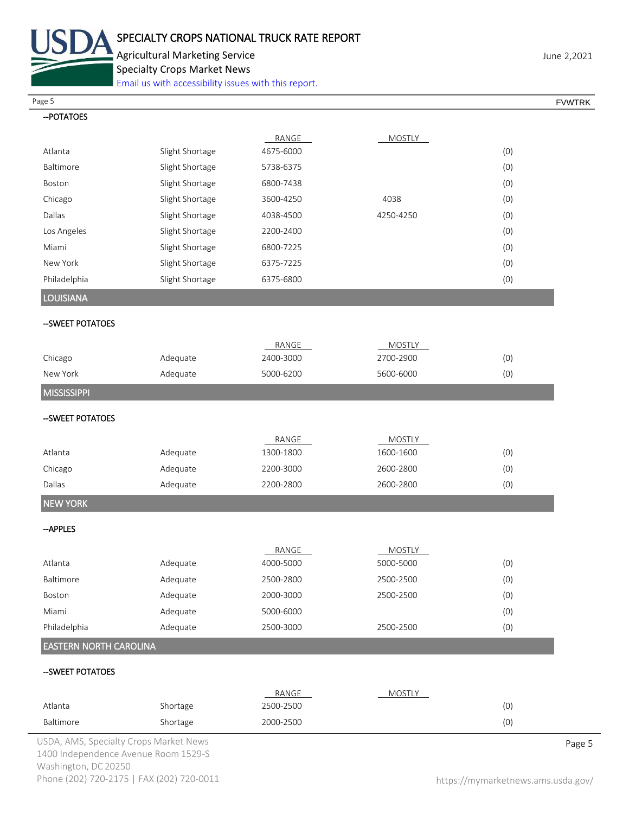

Agricultural Marketing Service **Agricultural Marketing Service** June 2,2021

Specialty Crops Market News

[Email us with accessibility issues with this report.](mailto:mars@ams.usda.gov?subject=508%20Inquiry/Report)

| Page 5                        |                 |           |               |     | <b>FVWTRK</b> |
|-------------------------------|-----------------|-----------|---------------|-----|---------------|
| -- POTATOES                   |                 |           |               |     |               |
|                               |                 | RANGE     | <b>MOSTLY</b> |     |               |
| Atlanta                       | Slight Shortage | 4675-6000 |               | (0) |               |
| Baltimore                     | Slight Shortage | 5738-6375 |               | (0) |               |
| Boston                        | Slight Shortage | 6800-7438 |               | (0) |               |
| Chicago                       | Slight Shortage | 3600-4250 | 4038          | (0) |               |
| Dallas                        | Slight Shortage | 4038-4500 | 4250-4250     | (0) |               |
| Los Angeles                   | Slight Shortage | 2200-2400 |               | (0) |               |
| Miami                         | Slight Shortage | 6800-7225 |               | (0) |               |
| New York                      | Slight Shortage | 6375-7225 |               | (0) |               |
| Philadelphia                  | Slight Shortage | 6375-6800 |               | (0) |               |
| <b>LOUISIANA</b>              |                 |           |               |     |               |
| -SWEET POTATOES               |                 |           |               |     |               |
|                               |                 | RANGE     | <b>MOSTLY</b> |     |               |
| Chicago                       | Adequate        | 2400-3000 | 2700-2900     | (0) |               |
| New York                      | Adequate        | 5000-6200 | 5600-6000     | (0) |               |
| <b>MISSISSIPPI</b>            |                 |           |               |     |               |
| --SWEET POTATOES              |                 |           |               |     |               |
|                               |                 | RANGE     | <b>MOSTLY</b> |     |               |
| Atlanta                       | Adequate        | 1300-1800 | 1600-1600     | (0) |               |
| Chicago                       | Adequate        | 2200-3000 | 2600-2800     | (0) |               |
| Dallas                        | Adequate        | 2200-2800 | 2600-2800     | (0) |               |
| <b>NEW YORK</b>               |                 |           |               |     |               |
| -- APPLES                     |                 |           |               |     |               |
|                               |                 | RANGE     | <b>MOSTLY</b> |     |               |
| Atlanta                       | Adequate        | 4000-5000 | 5000-5000     | (0) |               |
| Baltimore                     | Adequate        | 2500-2800 | 2500-2500     | (0) |               |
| Boston                        | Adequate        | 2000-3000 | 2500-2500     | (0) |               |
| Miami                         | Adequate        | 5000-6000 |               | (0) |               |
| Philadelphia                  | Adequate        | 2500-3000 | 2500-2500     | (0) |               |
| <b>EASTERN NORTH CAROLINA</b> |                 |           |               |     |               |
| -- SWEET POTATOES             |                 |           |               |     |               |
|                               |                 | RANGE     | <b>MOSTLY</b> |     |               |
| Atlanta                       | Shortage        | 2500-2500 |               | (0) |               |
| Baltimore                     | Shortage        | 2000-2500 |               | (0) |               |

USDA, AMS, Specialty Crops Market News **Page 5** 1400 Independence Avenue Room 1529-S Washington, DC 20250 Phone (202) 720-2175 | FAX (202) 720-0011 <https://mymarketnews.ams.usda.gov/>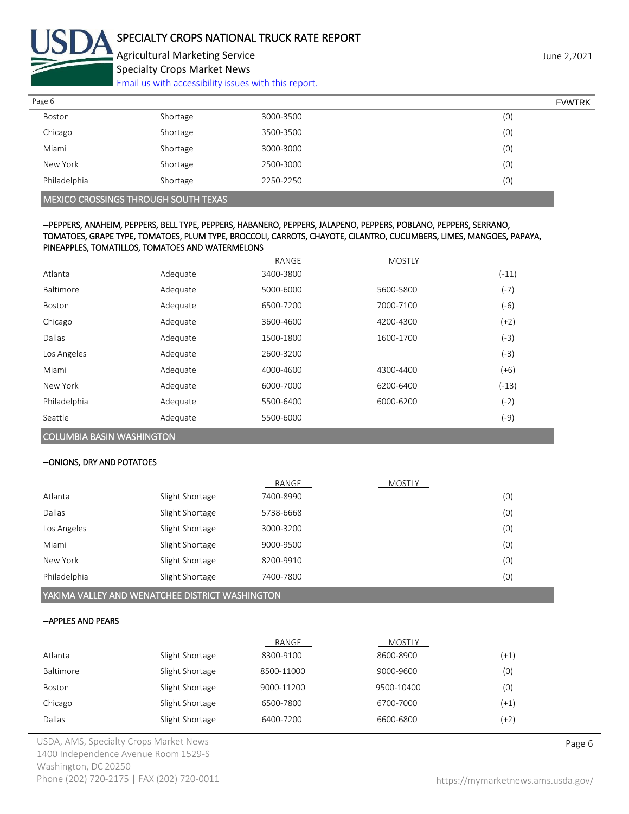

Agricultural Marketing Service **Agricultural Marketing Service** June 2,2021 Specialty Crops Market News

[Email us with accessibility issues with this report.](mailto:mars@ams.usda.gov?subject=508%20Inquiry/Report)

| Page 6       |          |           | <b>FVWTRK</b> |
|--------------|----------|-----------|---------------|
| Boston       | Shortage | 3000-3500 | (0)           |
| Chicago      | Shortage | 3500-3500 | (0)           |
| Miami        | Shortage | 3000-3000 | (0)           |
| New York     | Shortage | 2500-3000 | (0)           |
| Philadelphia | Shortage | 2250-2250 | (0)           |

MEXICO CROSSINGS THROUGH SOUTH TEXAS

--PEPPERS, ANAHEIM, PEPPERS, BELL TYPE, PEPPERS, HABANERO, PEPPERS, JALAPENO, PEPPERS, POBLANO, PEPPERS, SERRANO, TOMATOES, GRAPE TYPE, TOMATOES, PLUM TYPE, BROCCOLI, CARROTS, CHAYOTE, CILANTRO, CUCUMBERS, LIMES, MANGOES, PAPAYA, PINEAPPLES, TOMATILLOS, TOMATOES AND WATERMELONS

|              |          | RANGE     | <b>MOSTLY</b> |         |
|--------------|----------|-----------|---------------|---------|
| Atlanta      | Adequate | 3400-3800 |               | $(-11)$ |
| Baltimore    | Adequate | 5000-6000 | 5600-5800     | $(-7)$  |
| Boston       | Adequate | 6500-7200 | 7000-7100     | $(-6)$  |
| Chicago      | Adequate | 3600-4600 | 4200-4300     | (+2)    |
| Dallas       | Adequate | 1500-1800 | 1600-1700     | $(-3)$  |
| Los Angeles  | Adequate | 2600-3200 |               | (-3)    |
| Miami        | Adequate | 4000-4600 | 4300-4400     | (+6)    |
| New York     | Adequate | 6000-7000 | 6200-6400     | $(-13)$ |
| Philadelphia | Adequate | 5500-6400 | 6000-6200     | $(-2)$  |
| Seattle      | Adequate | 5500-6000 |               | (-9)    |

COLUMBIA BASIN WASHINGTON

## --ONIONS, DRY AND POTATOES

| (0) |
|-----|
| (0) |
| (0) |
| (0) |
| (0) |
| (0) |
|     |

YAKIMA VALLEY AND WENATCHEE DISTRICT WASHINGTON

## --APPLES AND PEARS

|               |                 | RANGE      | MOSTLY     |        |
|---------------|-----------------|------------|------------|--------|
| Atlanta       | Slight Shortage | 8300-9100  | 8600-8900  | $(+1)$ |
| Baltimore     | Slight Shortage | 8500-11000 | 9000-9600  | (0)    |
| <b>Boston</b> | Slight Shortage | 9000-11200 | 9500-10400 | (0)    |
| Chicago       | Slight Shortage | 6500-7800  | 6700-7000  | $(+1)$ |
| Dallas        | Slight Shortage | 6400-7200  | 6600-6800  | (+2)   |

USDA, AMS, Specialty Crops Market News **Page 6** 1400 Independence Avenue Room 1529-S Washington, DC 20250 Phone (202) 720-2175 | FAX (202) 720-0011 <https://mymarketnews.ams.usda.gov/>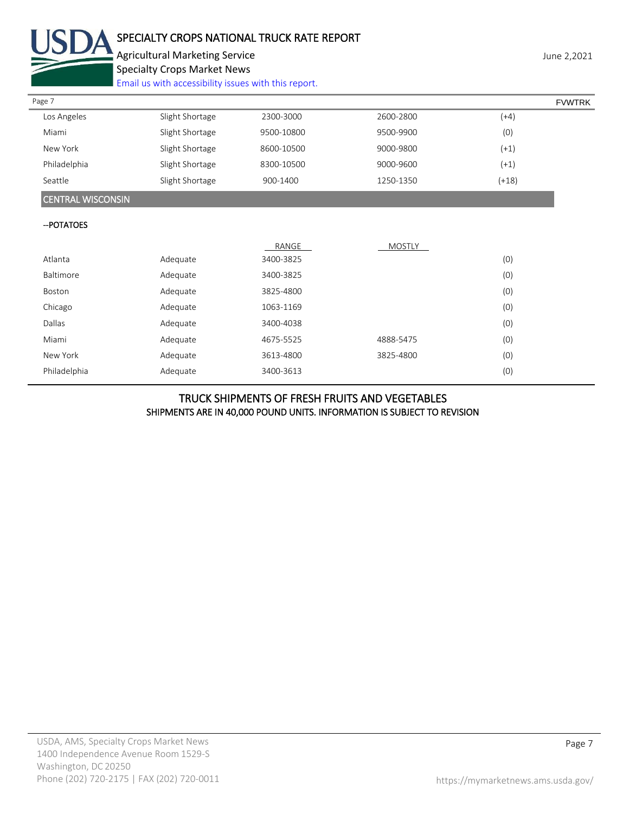

# SPECIALTY CROPS NATIONAL TRUCK RATE REPORT

Agricultural Marketing Service **Agricultural Marketing Service** June 2,2021 Specialty Crops Market News

[Email us with accessibility issues with this report.](mailto:mars@ams.usda.gov?subject=508%20Inquiry/Report)

| Page 7                   |                 |            |               |         | <b>FVWTRK</b> |
|--------------------------|-----------------|------------|---------------|---------|---------------|
| Los Angeles              | Slight Shortage | 2300-3000  | 2600-2800     | $(+4)$  |               |
| Miami                    | Slight Shortage | 9500-10800 | 9500-9900     | (0)     |               |
| New York                 | Slight Shortage | 8600-10500 | 9000-9800     | $(+1)$  |               |
| Philadelphia             | Slight Shortage | 8300-10500 | 9000-9600     | $(+1)$  |               |
| Seattle                  | Slight Shortage | 900-1400   | 1250-1350     | $(+18)$ |               |
| <b>CENTRAL WISCONSIN</b> |                 |            |               |         |               |
| -- POTATOES              |                 |            |               |         |               |
|                          |                 | RANGE      | <b>MOSTLY</b> |         |               |
| Atlanta                  | Adequate        | 3400-3825  |               | (0)     |               |
| Baltimore                | Adequate        | 3400-3825  |               | (0)     |               |
| Boston                   | Adequate        | 3825-4800  |               | (0)     |               |
| Chicago                  | Adequate        | 1063-1169  |               | (0)     |               |
| Dallas                   | Adequate        | 3400-4038  |               | (0)     |               |
| Miami                    | Adequate        | 4675-5525  | 4888-5475     | (0)     |               |

## TRUCK SHIPMENTS OF FRESH FRUITS AND VEGETABLES SHIPMENTS ARE IN 40,000 POUND UNITS. INFORMATION IS SUBJECT TO REVISION

New York Adequate 3613-4800 3825-4800 (0) Philadelphia Adequate 3400-3613 (0)